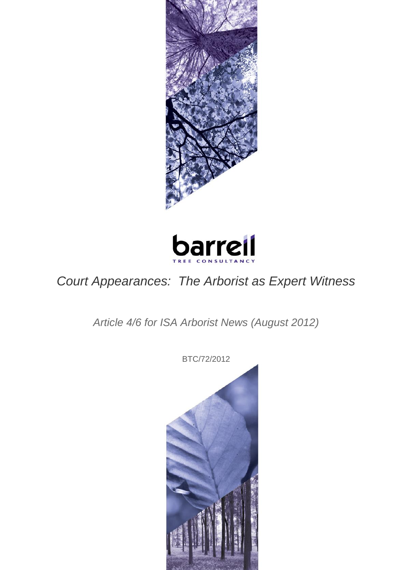



## *Court Appearances: The Arborist as Expert Witness*

*Article 4/6 for ISA Arborist News (August 2012)*

BTC/72/2012

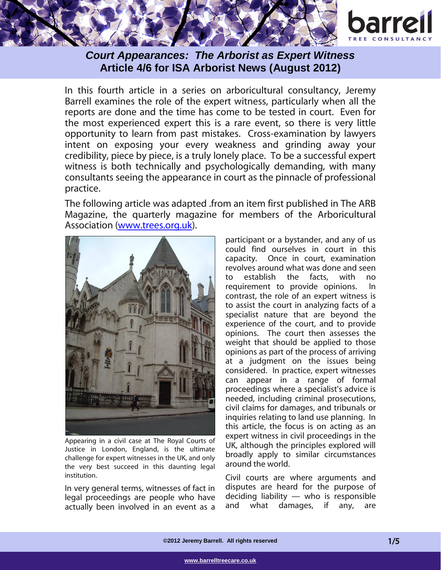



In this fourth article in a series on arboricultural consultancy, Jeremy Barrell examines the role of the expert witness, particularly when all the reports are done and the time has come to be tested in court. Even for the most experienced expert this is a rare event, so there is very little opportunity to learn from past mistakes. Cross-examination by lawyers intent on exposing your every weakness and grinding away your credibility, piece by piece, is a truly lonely place. To be a successful expert witness is both technically and psychologically demanding, with many consultants seeing the appearance in court as the pinnacle of professional practice.

The following article was adapted .from an item first published in The ARB Magazine, the quarterly magazine for members of the Arboricultural Association [\(www.trees.org.uk\)](http://www.trees.org.uk/).



Appearing in a civil case at The Royal Courts of Justice in London, England, is the ultimate challenge for expert witnesses in the UK, and only the very best succeed in this daunting legal institution.

In very general terms, witnesses of fact in legal proceedings are people who have actually been involved in an event as a participant or a bystander, and any of us could find ourselves in court in this capacity. Once in court, examination revolves around what was done and seen<br>to establish the facts, with no to establish the facts, with no requirement to provide opinions. In contrast, the role of an expert witness is to assist the court in analyzing facts of a specialist nature that are beyond the experience of the court, and to provide opinions. The court then assesses the weight that should be applied to those opinions as part of the process of arriving at a judgment on the issues being considered. In practice, expert witnesses can appear in a range of formal proceedings where a specialist's advice is needed, including criminal prosecutions, civil claims for damages, and tribunals or inquiries relating to land use planning. In this article, the focus is on acting as an expert witness in civil proceedings in the UK, although the principles explored will broadly apply to similar circumstances around the world.

Civil courts are where arguments and disputes are heard for the purpose of deciding liability — who is responsible and what damages, if any, are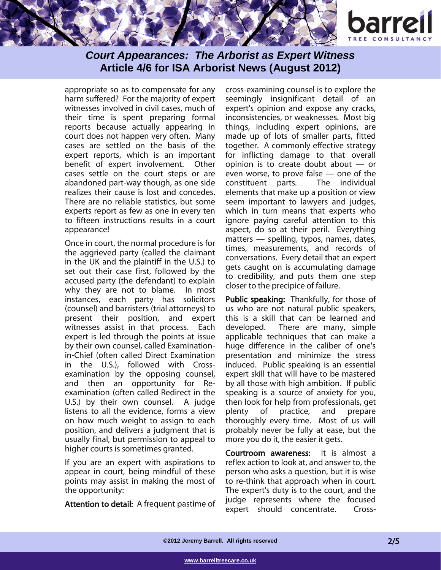

appropriate so as to compensate for any harm suffered? For the majority of expert witnesses involved in civil cases, much of their time is spent preparing formal reports because actually appearing in court does not happen very often. Many cases are settled on the basis of the expert reports, which is an important benefit of expert involvement. Other cases settle on the court steps or are abandoned part-way though, as one side realizes their cause is lost and concedes. There are no reliable statistics, but some experts report as few as one in every ten to fifteen instructions results in a court appearance!

Once in court, the normal procedure is for the aggrieved party (called the claimant in the UK and the plaintiff in the U.S.) to set out their case first, followed by the accused party (the defendant) to explain why they are not to blame. In most instances, each party has solicitors (counsel) and barristers (trial attorneys) to present their position, and expert witnesses assist in that process. Each expert is led through the points at issue by their own counsel, called Examinationin-Chief (often called Direct Examination in the U.S.), followed with Crossexamination by the opposing counsel, and then an opportunity for Reexamination (often called Redirect in the U.S.) by their own counsel. A judge listens to all the evidence, forms a view on how much weight to assign to each position, and delivers a judgment that is usually final, but permission to appeal to higher courts is sometimes granted.

If you are an expert with aspirations to appear in court, being mindful of these points may assist in making the most of the opportunity:

Attention to detail: A frequent pastime of

cross-examining counsel is to explore the seemingly insignificant detail of an expert's opinion and expose any cracks, inconsistencies, or weaknesses. Most big things, including expert opinions, are made up of lots of smaller parts, fitted together. A commonly effective strategy for inflicting damage to that overall opinion is to create doubt about — or even worse, to prove false — one of the constituent parts. The individual elements that make up a position or view seem important to lawyers and judges, which in turn means that experts who ignore paying careful attention to this aspect, do so at their peril. Everything matters — spelling, typos, names, dates, times, measurements, and records of conversations. Every detail that an expert gets caught on is accumulating damage to credibility, and puts them one step closer to the precipice of failure.

Public speaking: Thankfully, for those of us who are not natural public speakers, this is a skill that can be learned and developed. There are many, simple applicable techniques that can make a huge difference in the caliber of one's presentation and minimize the stress induced. Public speaking is an essential expert skill that will have to be mastered by all those with high ambition. If public speaking is a source of anxiety for you, then look for help from professionals, get plenty of practice, and prepare thoroughly every time. Most of us will probably never be fully at ease, but the more you do it, the easier it gets.

Courtroom awareness: It is almost a reflex action to look at, and answer to, the person who asks a question, but it is wise to re-think that approach when in court. The expert's duty is to the court, and the judge represents where the focused expert should concentrate. Cross-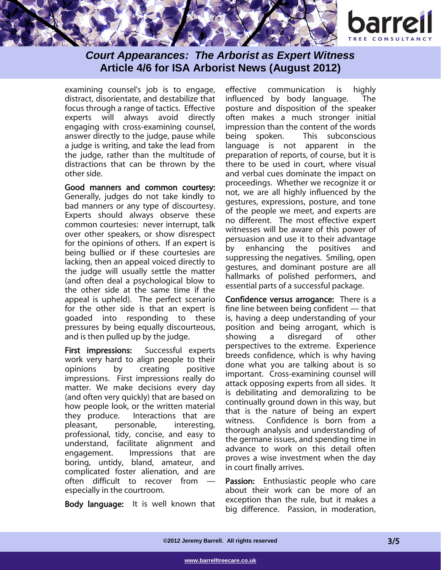

examining counsel's job is to engage, distract, disorientate, and destabilize that focus through a range of tactics. Effective experts will always avoid directly engaging with cross-examining counsel, answer directly to the judge, pause while a judge is writing, and take the lead from the judge, rather than the multitude of distractions that can be thrown by the other side.

Good manners and common courtesy: Generally, judges do not take kindly to bad manners or any type of discourtesy. Experts should always observe these common courtesies: never interrupt, talk over other speakers, or show disrespect for the opinions of others. If an expert is being bullied or if these courtesies are lacking, then an appeal voiced directly to the judge will usually settle the matter (and often deal a psychological blow to the other side at the same time if the appeal is upheld). The perfect scenario for the other side is that an expert is goaded into responding to these pressures by being equally discourteous, and is then pulled up by the judge.

First impressions: Successful experts work very hard to align people to their opinions by creating positive impressions. First impressions really do matter. We make decisions every day (and often very quickly) that are based on how people look, or the written material they produce. Interactions that are pleasant, personable, interesting, professional, tidy, concise, and easy to understand, facilitate alignment and engagement. Impressions that are boring, untidy, bland, amateur, and complicated foster alienation, and are often difficult to recover from especially in the courtroom.

Body language: It is well known that

effective communication is highly influenced by body language. The posture and disposition of the speaker often makes a much stronger initial impression than the content of the words being spoken. This subconscious language is not apparent in the preparation of reports, of course, but it is there to be used in court, where visual and verbal cues dominate the impact on proceedings. Whether we recognize it or not, we are all highly influenced by the gestures, expressions, posture, and tone of the people we meet, and experts are no different. The most effective expert witnesses will be aware of this power of persuasion and use it to their advantage by enhancing the positives and suppressing the negatives. Smiling, open gestures, and dominant posture are all hallmarks of polished performers, and essential parts of a successful package.

Confidence versus arrogance: There is a fine line between being confident — that is, having a deep understanding of your position and being arrogant, which is showing a disregard of other perspectives to the extreme. Experience breeds confidence, which is why having done what you are talking about is so important. Cross-examining counsel will attack opposing experts from all sides. It is debilitating and demoralizing to be continually ground down in this way, but that is the nature of being an expert witness. Confidence is born from a thorough analysis and understanding of the germane issues, and spending time in advance to work on this detail often proves a wise investment when the day in court finally arrives.

Passion: Enthusiastic people who care about their work can be more of an exception than the rule, but it makes a big difference. Passion, in moderation,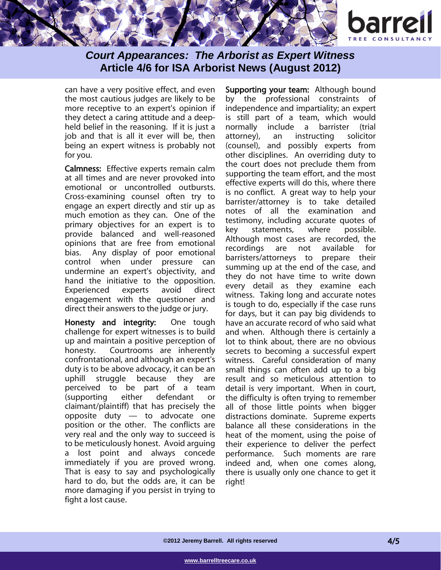



can have a very positive effect, and even the most cautious judges are likely to be more receptive to an expert's opinion if they detect a caring attitude and a deepheld belief in the reasoning. If it is just a job and that is all it ever will be, then being an expert witness is probably not for you.

Calmness: Effective experts remain calm at all times and are never provoked into emotional or uncontrolled outbursts. Cross-examining counsel often try to engage an expert directly and stir up as much emotion as they can. One of the primary objectives for an expert is to provide balanced and well-reasoned opinions that are free from emotional bias. Any display of poor emotional control when under pressure can undermine an expert's objectivity, and hand the initiative to the opposition. Experienced experts avoid direct engagement with the questioner and direct their answers to the judge or jury.

Honesty and integrity: One tough challenge for expert witnesses is to build up and maintain a positive perception of honesty. Courtrooms are inherently confrontational, and although an expert's duty is to be above advocacy, it can be an uphill struggle because they are perceived to be part of a team (supporting either defendant or claimant/plaintiff) that has precisely the opposite duty — to advocate one position or the other. The conflicts are very real and the only way to succeed is to be meticulously honest. Avoid arguing a lost point and always concede immediately if you are proved wrong. That is easy to say and psychologically hard to do, but the odds are, it can be more damaging if you persist in trying to fight a lost cause.

Supporting your team: Although bound by the professional constraints of independence and impartiality; an expert is still part of a team, which would normally include a barrister (trial attorney), an instructing solicitor (counsel), and possibly experts from other disciplines. An overriding duty to the court does not preclude them from supporting the team effort, and the most effective experts will do this, where there is no conflict. A great way to help your barrister/attorney is to take detailed notes of all the examination and testimony, including accurate quotes of key statements, where possible. Although most cases are recorded, the recordings are not available for barristers/attorneys to prepare their summing up at the end of the case, and they do not have time to write down every detail as they examine each witness. Taking long and accurate notes is tough to do, especially if the case runs for days, but it can pay big dividends to have an accurate record of who said what and when. Although there is certainly a lot to think about, there are no obvious secrets to becoming a successful expert witness. Careful consideration of many small things can often add up to a big result and so meticulous attention to detail is very important. When in court, the difficulty is often trying to remember all of those little points when bigger distractions dominate. Supreme experts balance all these considerations in the heat of the moment, using the poise of their experience to deliver the perfect performance. Such moments are rare indeed and, when one comes along, there is usually only one chance to get it right!